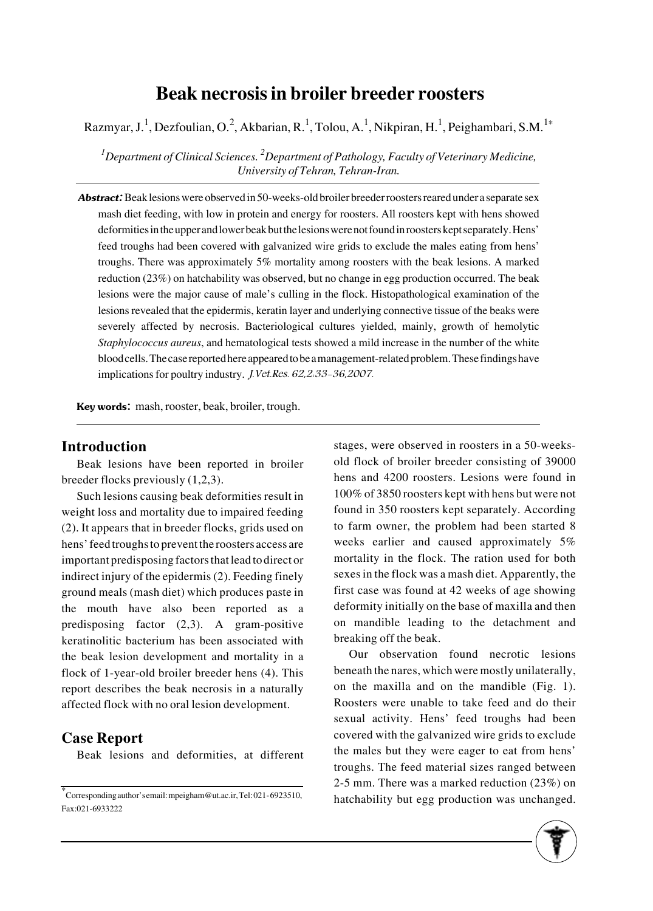# **Beak necrosis in broiler breeder roosters**

Razmyar, J.<sup>1</sup>, Dezfoulian, O.<sup>2</sup>, Akbarian, R.<sup>1</sup>, Tolou, A.<sup>1</sup>, Nikpiran, H.<sup>1</sup>, Peighambari, S.M.<sup>1\*</sup>

*1 Department of Clinical Sciences. 2 Department of Pathology, Faculty of Veterinary Medicine, University of Tehran, Tehran-Iran.*

Abstract: Beak lesions were observed in 50-weeks-old broiler breeder roosters reared under a separate sex mash diet feeding, with low in protein and energy for roosters. All roosters kept with hens showed deformities in the upper and lower beak but the lesions were not found in roosters kept separately. Hens' feed troughs had been covered with galvanized wire grids to exclude the males eating from hens' troughs. There was approximately 5% mortality among roosters with the beak lesions. A marked reduction (23%) on hatchability was observed, but no change in egg production occurred. The beak lesions were the major cause of male's culling in the flock. Histopathological examination of the lesions revealed that the epidermis, keratin layer and underlying connective tissue of the beaks were severely affected by necrosis. Bacteriological cultures yielded, mainly, growth of hemolytic *Staphylococcus aureus*, and hematological tests showed a mild increase in the number of the white blood cells. The case reported here appeared to be a management-related problem. These findings have implications for poultry industry. J.Vet.Res. 62,2:33-36,2007.

Key words: mash, rooster, beak, broiler, trough.

#### **Introduction**

Beak lesions have been reported in broiler breeder flocks previously (1,2,3).

Such lesions causing beak deformities result in weight loss and mortality due to impaired feeding (2). It appears that in breeder flocks, grids used on hens' feed troughs to prevent the roosters access are important predisposing factors that lead to direct or indirect injury of the epidermis (2). Feeding finely ground meals (mash diet) which produces paste in the mouth have also been reported as a predisposing factor (2,3). A gram-positive keratinolitic bacterium has been associated with the beak lesion development and mortality in a flock of 1-year-old broiler breeder hens (4). This report describes the beak necrosis in a naturally affected flock with no oral lesion development.

### **Case Report**

Beak lesions and deformities, at different

stages, were observed in roosters in a 50-weeksold flock of broiler breeder consisting of 39000 hens and 4200 roosters. Lesions were found in 100% of 3850 roosters kept with hens but were not found in 350 roosters kept separately. According to farm owner, the problem had been started 8 weeks earlier and caused approximately 5% mortality in the flock. The ration used for both sexes in the flock was a mash diet. Apparently, the first case was found at 42 weeks of age showing deformity initially on the base of maxilla and then on mandible leading to the detachment and breaking off the beak.

Our observation found necrotic lesions beneath the nares, which were mostly unilaterally, on the maxilla and on the mandible (Fig. 1). Roosters were unable to take feed and do their sexual activity. Hens' feed troughs had been covered with the galvanized wire grids to exclude the males but they were eager to eat from hens' troughs. The feed material sizes ranged between 2-5 mm. There was a marked reduction (23%) on hatchability but egg production was unchanged.



<sup>\*</sup>Corresponding author's email: mpeigham@ut.ac.ir, Tel: 021-6923510, Fax:021-6933222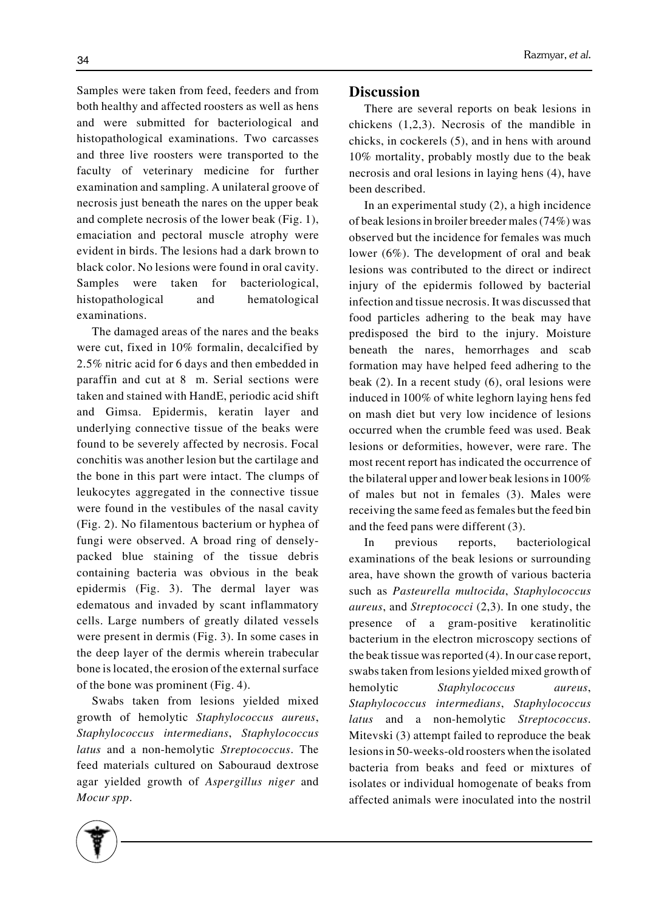Samples were taken from feed, feeders and from both healthy and affected roosters as well as hens and were submitted for bacteriological and histopathological examinations. Two carcasses and three live roosters were transported to the faculty of veterinary medicine for further examination and sampling. A unilateral groove of necrosis just beneath the nares on the upper beak and complete necrosis of the lower beak (Fig. 1), emaciation and pectoral muscle atrophy were evident in birds. The lesions had a dark brown to black color. No lesions were found in oral cavity. Samples were taken for bacteriological, histopathological and hematological examinations.

The damaged areas of the nares and the beaks were cut, fixed in 10% formalin, decalcified by 2.5% nitric acid for 6 days and then embedded in paraffin and cut at 8 m. Serial sections were taken and stained with HandE, periodic acid shift and Gimsa. Epidermis, keratin layer and underlying connective tissue of the beaks were found to be severely affected by necrosis. Focal conchitis was another lesion but the cartilage and the bone in this part were intact. The clumps of leukocytes aggregated in the connective tissue were found in the vestibules of the nasal cavity (Fig. 2). No filamentous bacterium or hyphea of fungi were observed. A broad ring of denselypacked blue staining of the tissue debris containing bacteria was obvious in the beak epidermis (Fig. 3). The dermal layer was edematous and invaded by scant inflammatory cells. Large numbers of greatly dilated vessels were present in dermis (Fig. 3). In some cases in the deep layer of the dermis wherein trabecular bone is located, the erosion of the external surface of the bone was prominent (Fig. 4).

Swabs taken from lesions yielded mixed growth of hemolytic *Staphylococcus aureus*, *Staphylococcus intermedians*, *Staphylococcus latus* and a non-hemolytic *Streptococcus*. The feed materials cultured on Sabouraud dextrose agar yielded growth of *Aspergillus niger* and *Mocur spp*.

## **Discussion**

There are several reports on beak lesions in chickens (1,2,3). Necrosis of the mandible in chicks, in cockerels (5), and in hens with around 10% mortality, probably mostly due to the beak necrosis and oral lesions in laying hens (4), have been described.

In an experimental study (2), a high incidence of beak lesions in broiler breeder males (74%) was observed but the incidence for females was much lower (6%). The development of oral and beak lesions was contributed to the direct or indirect injury of the epidermis followed by bacterial infection and tissue necrosis. It was discussed that food particles adhering to the beak may have predisposed the bird to the injury. Moisture beneath the nares, hemorrhages and scab formation may have helped feed adhering to the beak (2). In a recent study (6), oral lesions were induced in 100% of white leghorn laying hens fed on mash diet but very low incidence of lesions occurred when the crumble feed was used. Beak lesions or deformities, however, were rare. The most recent report has indicated the occurrence of the bilateral upper and lower beak lesions in 100% of males but not in females (3). Males were receiving the same feed as females but the feed bin and the feed pans were different (3).

In previous reports, bacteriological examinations of the beak lesions or surrounding area, have shown the growth of various bacteria such as *Pasteurella multocida*, *Staphylococcus aureus*, and *Streptococci* (2,3). In one study, the presence of a gram-positive keratinolitic bacterium in the electron microscopy sections of the beak tissue was reported (4). In our case report, swabs taken from lesions yielded mixed growth of hemolytic *Staphylococcus aureus*, *Staphylococcus intermedians*, *Staphylococcus latus* and a non-hemolytic *Streptococcus*. Mitevski (3) attempt failed to reproduce the beak lesions in 50-weeks-old roosters when the isolated bacteria from beaks and feed or mixtures of isolates or individual homogenate of beaks from affected animals were inoculated into the nostril

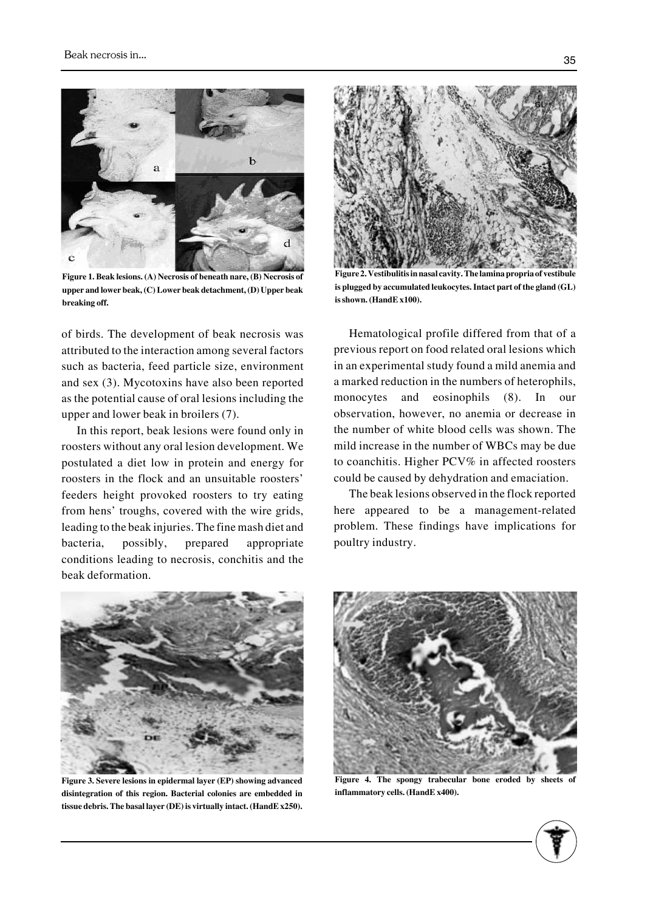

**Figure 1. Beak lesions. (A) Necrosis of beneath nare, (B) Necrosis of upper and lower beak, (C) Lower beak detachment, (D) Upper beak breaking off.**

of birds. The development of beak necrosis was attributed to the interaction among several factors such as bacteria, feed particle size, environment and sex (3). Mycotoxins have also been reported as the potential cause of oral lesions including the upper and lower beak in broilers (7).

In this report, beak lesions were found only in roosters without any oral lesion development. We postulated a diet low in protein and energy for roosters in the flock and an unsuitable roosters' feeders height provoked roosters to try eating from hens' troughs, covered with the wire grids, leading to the beak injuries. The fine mash diet and bacteria, possibly, prepared appropriate conditions leading to necrosis, conchitis and the beak deformation.



**Figure 2. Vestibulitis in nasal cavity. The lamina propria of vestibule is plugged by accumulated leukocytes. Intact part of the gland (GL) is shown. (HandE x100).**

Hematological profile differed from that of a previous report on food related oral lesions which in an experimental study found a mild anemia and a marked reduction in the numbers of heterophils, monocytes and eosinophils (8). In our observation, however, no anemia or decrease in the number of white blood cells was shown. The mild increase in the number of WBCs may be due to coanchitis. Higher PCV% in affected roosters could be caused by dehydration and emaciation.

The beak lesions observed in the flock reported here appeared to be a management-related problem. These findings have implications for poultry industry.



**Figure 3. Severe lesions in epidermal layer (EP) showing advanced disintegration of this region. Bacterial colonies are embedded in tissue debris. The basal layer (DE) is virtually intact. (HandE x250).**



**Figure 4. The spongy trabecular bone eroded by sheets of inflammatory cells. (HandE x400).**